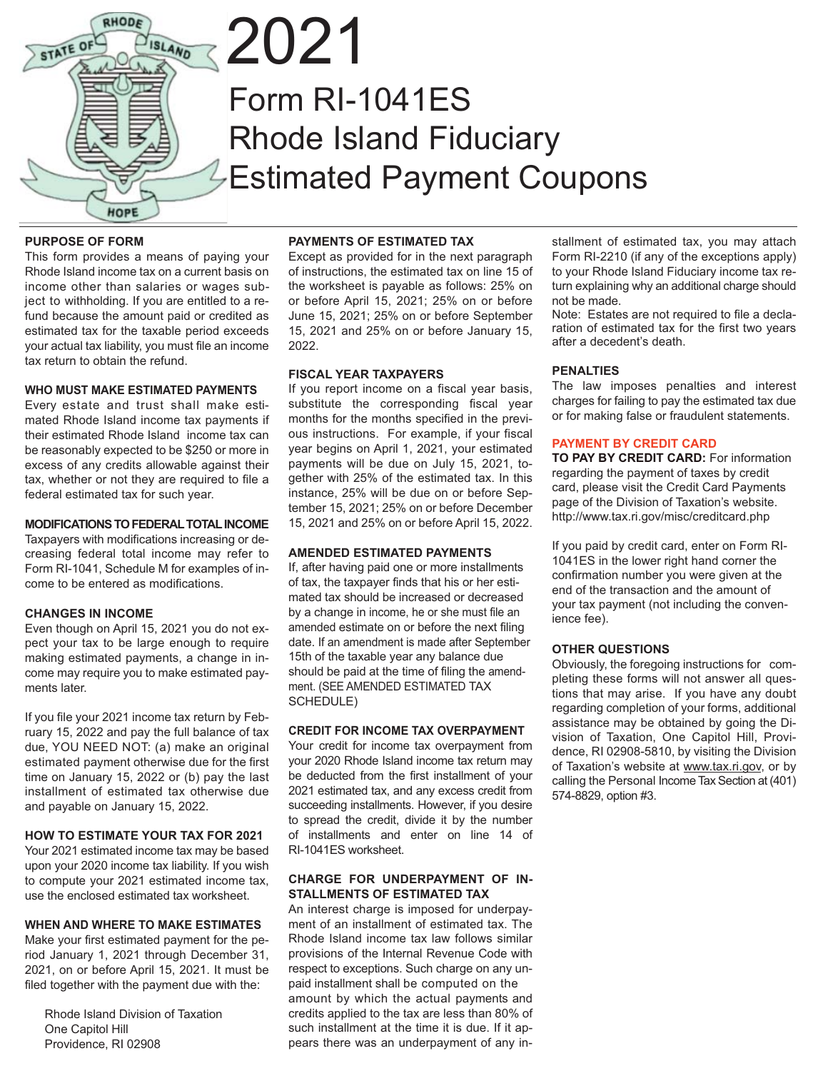

# 2021 Form RI-1041ES Rhode Island Fiduciary Estimated Payment Coupons

#### **PURPOSE OF FORM**

This form provides a means of paying your Rhode Island income tax on a current basis on income other than salaries or wages subject to withholding. If you are entitled to a refund because the amount paid or credited as estimated tax for the taxable period exceeds your actual tax liability, you must file an income tax return to obtain the refund.

#### **WHO MUST MAKE ESTIMATED PAYMENTS**

Every estate and trust shall make estimated Rhode Island income tax payments if their estimated Rhode Island income tax can be reasonably expected to be \$250 or more in excess of any credits allowable against their tax, whether or not they are required to file a federal estimated tax for such year.

#### **MODIFICATIONS TO FEDERAL TOTAL INCOME**

Taxpayers with modifications increasing or decreasing federal total income may refer to Form RI-1041, Schedule M for examples of income to be entered as modifications.

#### **CHANGES IN INCOME**

Even though on April 15, 2021 you do not expect your tax to be large enough to require making estimated payments, a change in income may require you to make estimated payments later.

If you file your 2021 income tax return by February 15, 2022 and pay the full balance of tax due, YOU NEED NOT: (a) make an original estimated payment otherwise due for the first time on January 15, 2022 or (b) pay the last installment of estimated tax otherwise due and payable on January 15, 2022.

#### **HOW TO ESTIMATE YOUR TAX FOR 2021**

Your 2021 estimated income tax may be based upon your 2020 income tax liability. If you wish to compute your 2021 estimated income tax, use the enclosed estimated tax worksheet.

#### **WHEN AND WHERE TO MAKE ESTIMATES**

Make your first estimated payment for the period January 1, 2021 through December 31, 2021, on or before April 15, 2021. It must be filed together with the payment due with the:

 Rhode Island Division of Taxation One Capitol Hill Providence, RI 02908

#### **PAYMENTS OF ESTIMATED TAX**

Except as provided for in the next paragraph of instructions, the estimated tax on line 15 of the worksheet is payable as follows: 25% on or before April 15, 2021; 25% on or before June 15, 2021; 25% on or before September 15, 2021 and 25% on or before January 15, 2022.

#### **FISCAL YEAR TAXPAYERS**

If you report income on a fiscal year basis, substitute the corresponding fiscal year months for the months specified in the previous instructions. For example, if your fiscal year begins on April 1, 2021, your estimated payments will be due on July 15, 2021, together with 25% of the estimated tax. In this instance, 25% will be due on or before September 15, 2021; 25% on or before December 15, 2021 and 25% on or before April 15, 2022.

#### **AMENDED ESTIMATED PAYMENTS**

If, after having paid one or more installments of tax, the taxpayer finds that his or her estimated tax should be increased or decreased by a change in income, he or she must file an amended estimate on or before the next filing date. If an amendment is made after September 15th of the taxable year any balance due should be paid at the time of filing the amendment. (SEE AMENDED ESTIMATED TAX SCHEDULE)

#### **CREDIT FOR INCOME TAX OVERPAYMENT**

Your credit for income tax overpayment from your 2020 Rhode Island income tax return may be deducted from the first installment of your 2021 estimated tax, and any excess credit from succeeding installments. However, if you desire to spread the credit, divide it by the number of installments and enter on line 14 of RI-1041ES worksheet.

#### **CHARGE FOR UNDERPAYMENT OF IN-STALLMENTS OF ESTIMATED TAX**

An interest charge is imposed for underpayment of an installment of estimated tax. The Rhode Island income tax law follows similar provisions of the Internal Revenue Code with respect to exceptions. Such charge on any unpaid installment shall be computed on the amount by which the actual payments and credits applied to the tax are less than 80% of such installment at the time it is due. If it appears there was an underpayment of any installment of estimated tax, you may attach Form RI-2210 (if any of the exceptions apply) to your Rhode Island Fiduciary income tax return explaining why an additional charge should not be made.

Note: Estates are not required to file a declaration of estimated tax for the first two years after a decedent's death.

#### **PENALTIES**

The law imposes penalties and interest charges for failing to pay the estimated tax due or for making false or fraudulent statements.

#### **PAYMENT BY CREDIT CARD**

**TO PAY BY CREDIT CARD:** For information regarding the payment of taxes by credit card, please visit the Credit Card Payments page of the Division of Taxation's website. http://www.tax.ri.gov/misc/creditcard.php

If you paid by credit card, enter on Form RI-1041ES in the lower right hand corner the confirmation number you were given at the end of the transaction and the amount of your tax payment (not including the convenience fee).

#### **OTHER QUESTIONS**

Obviously, the foregoing instructions for completing these forms will not answer all questions that may arise. If you have any doubt regarding completion of your forms, additional assistance may be obtained by going the Division of Taxation, One Capitol Hill, Providence, RI 02908-5810, by visiting the Division of Taxation's website at www.tax.ri.gov, or by calling the Personal Income Tax Section at (401) 574-8829, option #3.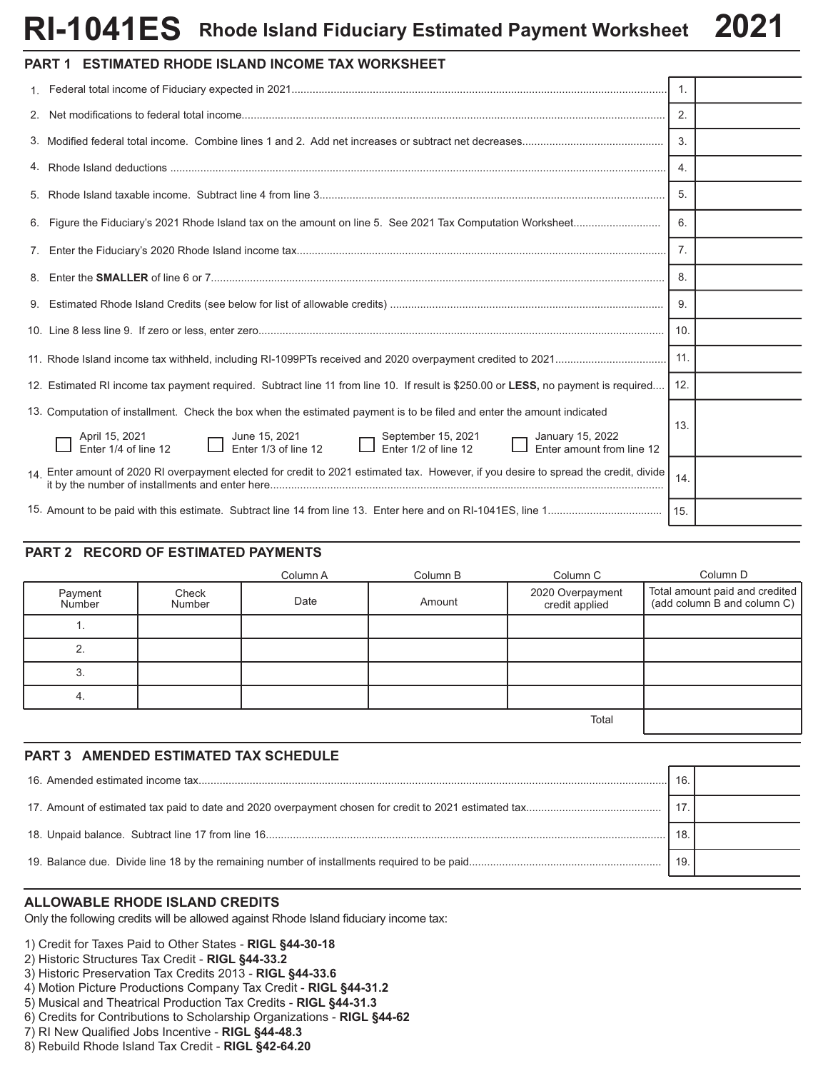### **Rhode Island Fiduciary Estimated Payment Worksheet 2021 RI-1041ES**

| <b>PART 1 ESTIMATED RHODE ISLAND INCOME TAX WORKSHEET</b>                                                                                                                                                                                  |                |  |
|--------------------------------------------------------------------------------------------------------------------------------------------------------------------------------------------------------------------------------------------|----------------|--|
|                                                                                                                                                                                                                                            | $\mathbf{1}$ . |  |
|                                                                                                                                                                                                                                            | 2.             |  |
|                                                                                                                                                                                                                                            | 3.             |  |
|                                                                                                                                                                                                                                            | 4.             |  |
|                                                                                                                                                                                                                                            | 5.             |  |
|                                                                                                                                                                                                                                            | 6.             |  |
|                                                                                                                                                                                                                                            | 7 <sub>1</sub> |  |
|                                                                                                                                                                                                                                            | 8.             |  |
|                                                                                                                                                                                                                                            | 9.             |  |
|                                                                                                                                                                                                                                            | 10.            |  |
|                                                                                                                                                                                                                                            | 11.            |  |
| 12. Estimated RI income tax payment required. Subtract line 11 from line 10. If result is \$250.00 or LESS, no payment is required                                                                                                         | 12.            |  |
| 13. Computation of installment. Check the box when the estimated payment is to be filed and enter the amount indicated                                                                                                                     | 13.            |  |
| June 15, 2021<br>Enter 1/3 of line 12<br>Enter 1/3 of line 12<br>Enter 1/3 of line 12<br>Enter 1/3 of line 12<br>Enter 1/3 of line 12<br>Enter 1/3 of line 12<br>Enter 1/3 of line 12<br>Enter 2<br>April 15, 2021<br>Enter 1/4 of line 12 |                |  |
| 14. Enter amount of 2020 RI overpayment elected for credit to 2021 estimated tax. However, if you desire to spread the credit, divide                                                                                                      | 14.            |  |
|                                                                                                                                                                                                                                            |                |  |

#### **PART 2 RECORD OF ESTIMATED PAYMENTS**

|                   |                 | Column A | Column B | Column C                           | Column D                                                      |
|-------------------|-----------------|----------|----------|------------------------------------|---------------------------------------------------------------|
| Payment<br>Number | Check<br>Number | Date     | Amount   | 2020 Overpayment<br>credit applied | Total amount paid and credited<br>(add column B and column C) |
|                   |                 |          |          |                                    |                                                               |
| ົ                 |                 |          |          |                                    |                                                               |
| 3.                |                 |          |          |                                    |                                                               |
| 4.                |                 |          |          |                                    |                                                               |
|                   |                 |          |          |                                    |                                                               |

#### **PART 3 AMENDED ESTIMATED TAX SCHEDULE**

| 16. |  |
|-----|--|
|     |  |
| 18. |  |
| 19. |  |

#### **ALLOWABLE RHODE ISLAND CREDITS**

Only the following credits will be allowed against Rhode Island fiduciary income tax:

1) Credit for Taxes Paid to Other States - **RIGL §44-30-18**

- 2) Historic Structures Tax Credit **RIGL §44-33.2**
- 3) Historic Preservation Tax Credits 2013 **RIGL §44-33.6**
- 4) Motion Picture Productions Company Tax Credit **RIGL §44-31.2**
- 5) Musical and Theatrical Production Tax Credits **RIGL §44-31.3**
- 6) Credits for Contributions to Scholarship Organizations **RIGL §44-62**
- 7) RI New Qualified Jobs Incentive **RIGL §44-48.3**
- 8) Rebuild Rhode Island Tax Credit **RIGL §42-64.20**